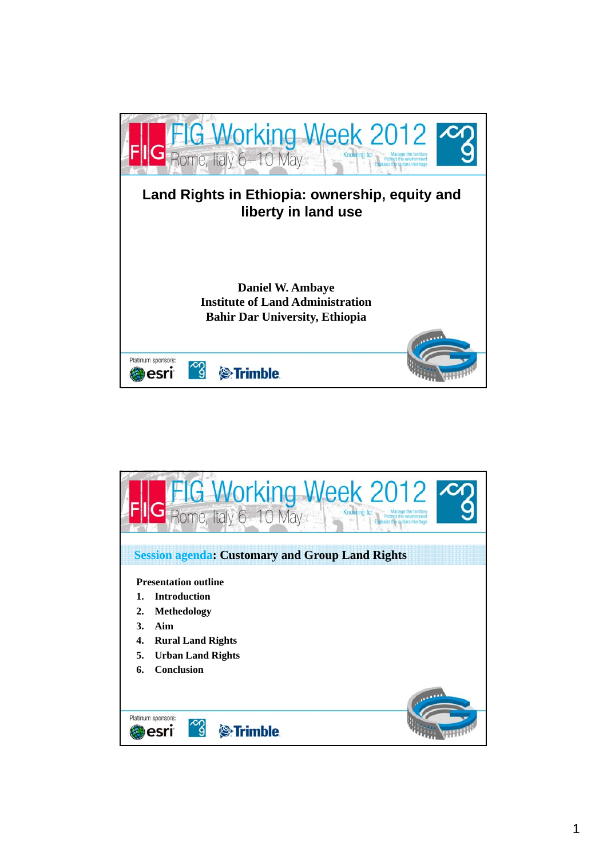

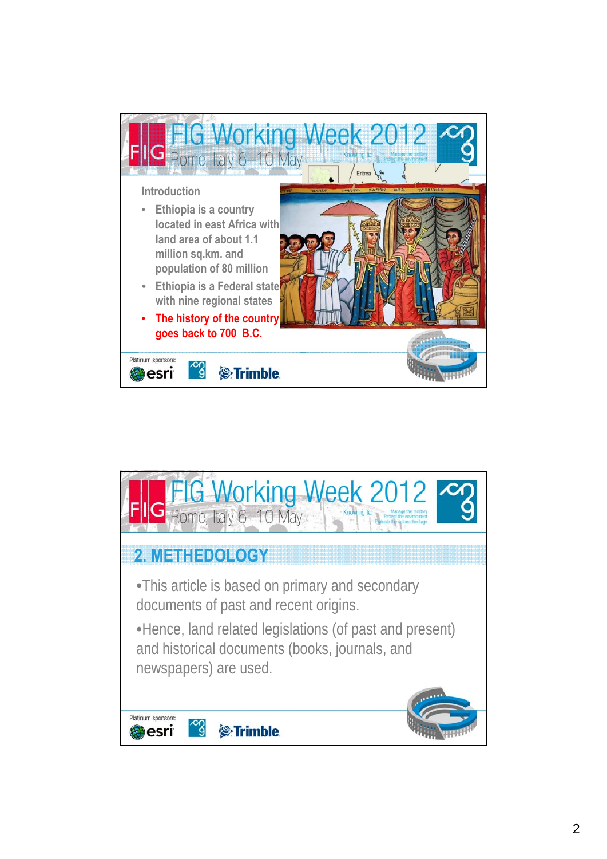

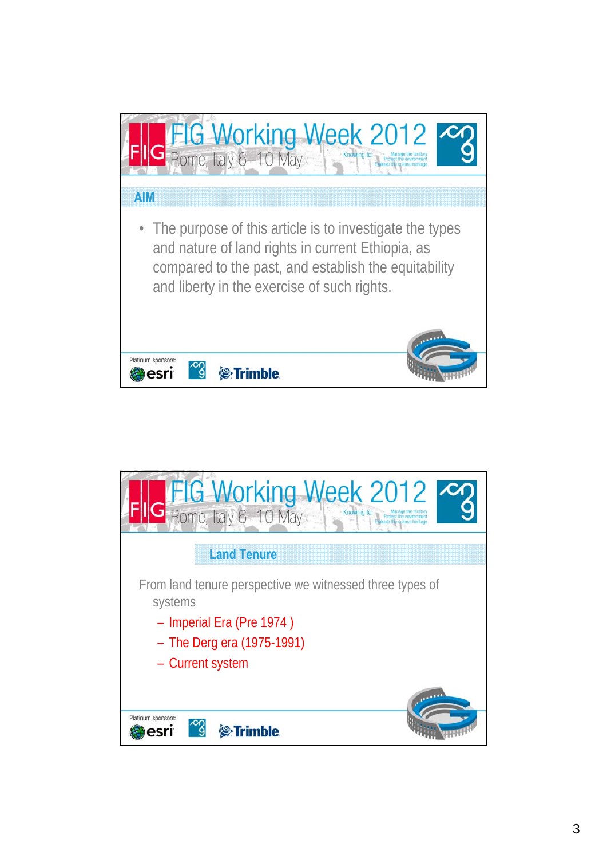

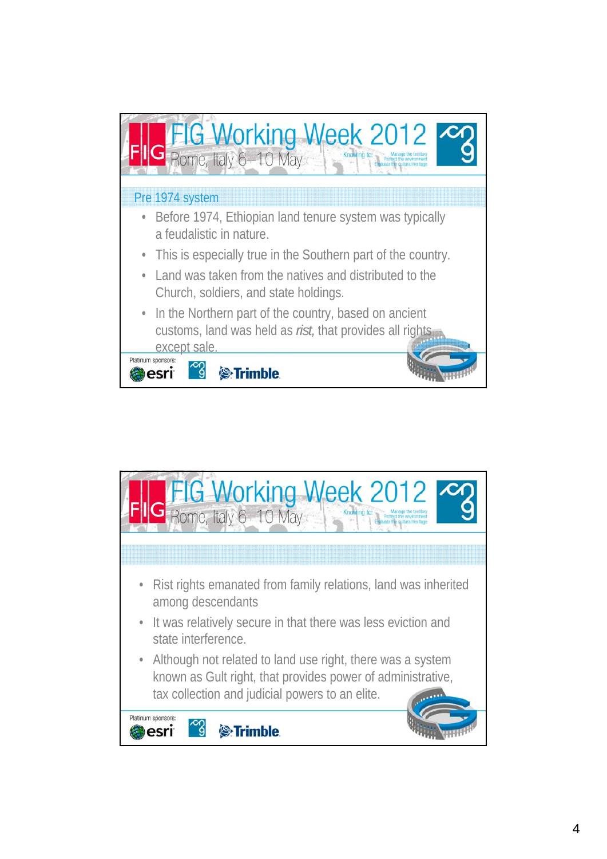

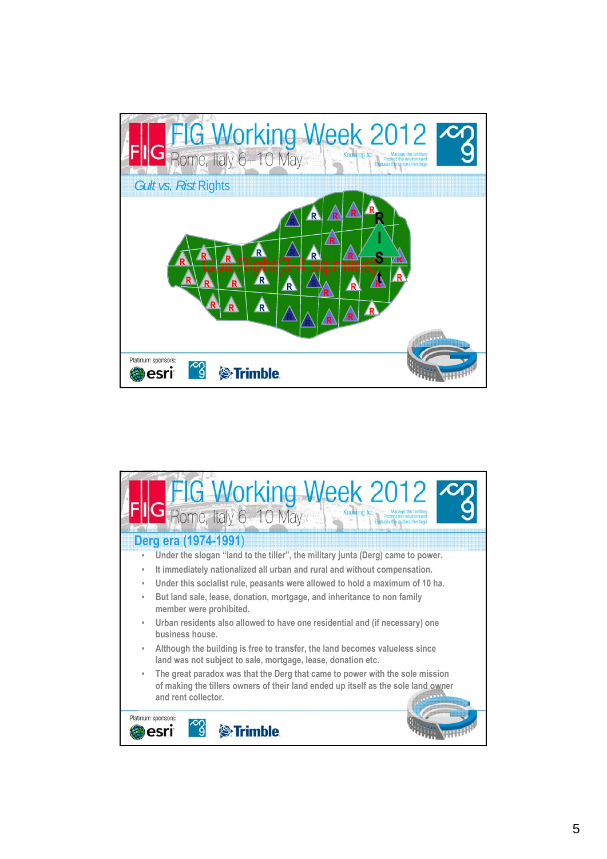

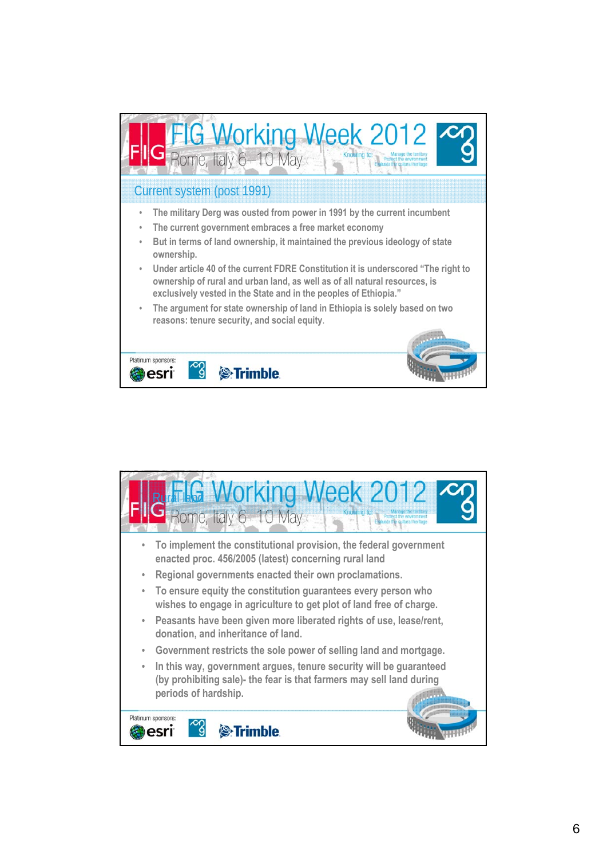

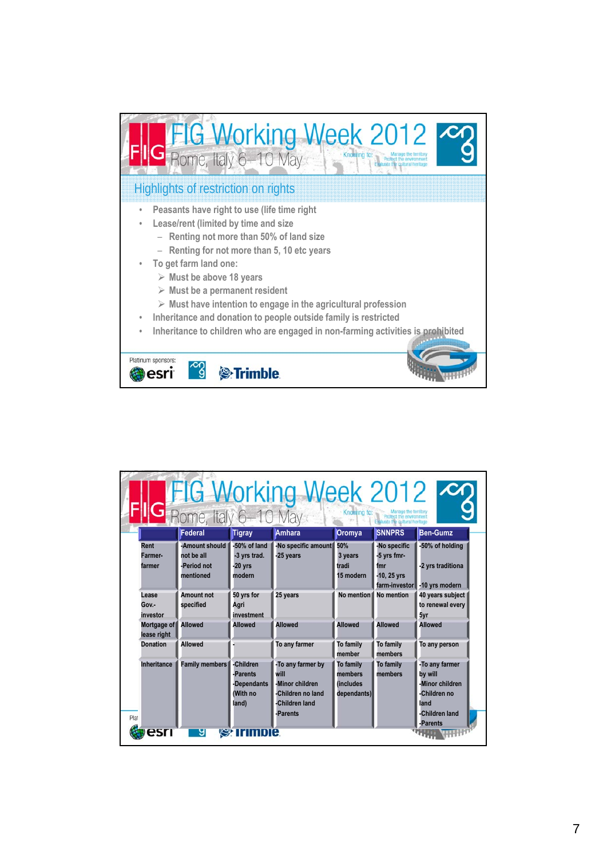

| FIG Working Week 2012<br>IG Rome, Italy 6-10 May<br>Knowing to:<br>Manage the territory<br>Protect the environment<br>Evaluate the coltural heritage |                                                          |                                                           |                                                                                                 |                                                         |                                                                    |                                                                                                    |  |  |  |  |
|------------------------------------------------------------------------------------------------------------------------------------------------------|----------------------------------------------------------|-----------------------------------------------------------|-------------------------------------------------------------------------------------------------|---------------------------------------------------------|--------------------------------------------------------------------|----------------------------------------------------------------------------------------------------|--|--|--|--|
|                                                                                                                                                      | Federal                                                  | <b>Tigray</b>                                             | Amhara                                                                                          | <b>Oromya</b>                                           | <b>SNNPRS</b>                                                      | <b>Ben-Gumz</b>                                                                                    |  |  |  |  |
| Rent<br>Farmer-<br>farmer                                                                                                                            | -Amount should<br>not be all<br>-Period not<br>mentioned | -50% of land<br>-3 vrs trad.<br>$-20$ vrs<br>modern       | -No specific amount<br>-25 years                                                                | 50%<br>3 years<br>tradi<br>15 modern                    | -No specific<br>-5 yrs fmr-<br>fmr<br>-10, 25 yrs<br>farm-investor | -50% of holding<br>-2 yrs traditiona<br>-10 yrs modern                                             |  |  |  |  |
| Lease<br>Gov.-<br>investor                                                                                                                           | Amount not<br>specified                                  | 50 yrs for<br>Agri<br>investment                          | 25 years                                                                                        | No mention                                              | <b>No mention</b>                                                  | 40 years subject<br>to renewal every<br>5yr                                                        |  |  |  |  |
| Mortgage of<br>lease right                                                                                                                           | <b>Allowed</b>                                           | <b>Allowed</b>                                            | <b>Allowed</b>                                                                                  | <b>Allowed</b>                                          | <b>Allowed</b>                                                     | <b>Allowed</b>                                                                                     |  |  |  |  |
| <b>Donation</b>                                                                                                                                      | <b>Allowed</b>                                           |                                                           | To any farmer                                                                                   | To family<br>member                                     | To family<br>members                                               | To any person                                                                                      |  |  |  |  |
| <b>Inheritance</b><br>Plat                                                                                                                           | <b>Family members</b>                                    | -Children<br>-Parents<br>-Dependants<br>(With no<br>(land | -To any farmer by<br>will<br>-Minor children<br>-Children no land<br>-Children land<br>-Parents | To family<br>members<br><i>(includes</i><br>dependants) | To family<br>members                                               | -To any farmer<br>by will<br>-Minor children<br>-Children no<br>land<br>-Children land<br>-Parents |  |  |  |  |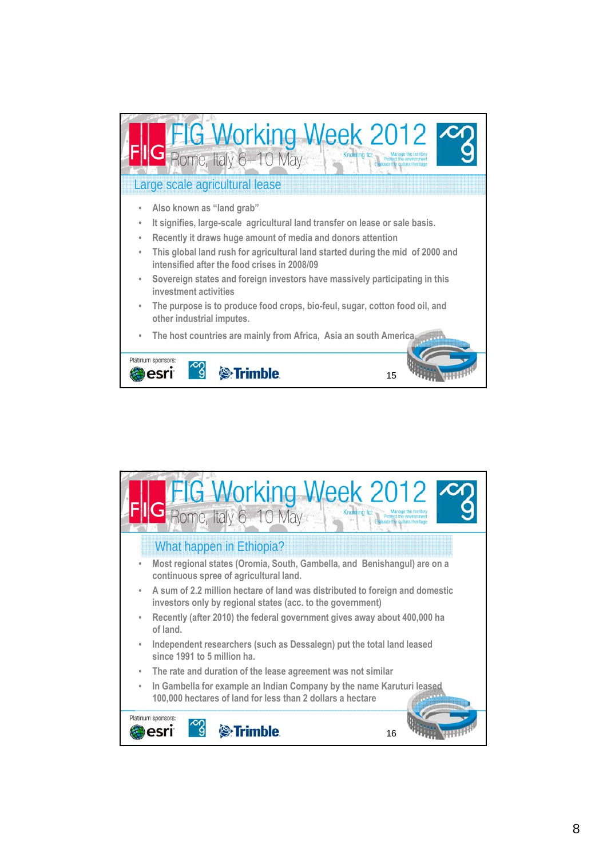

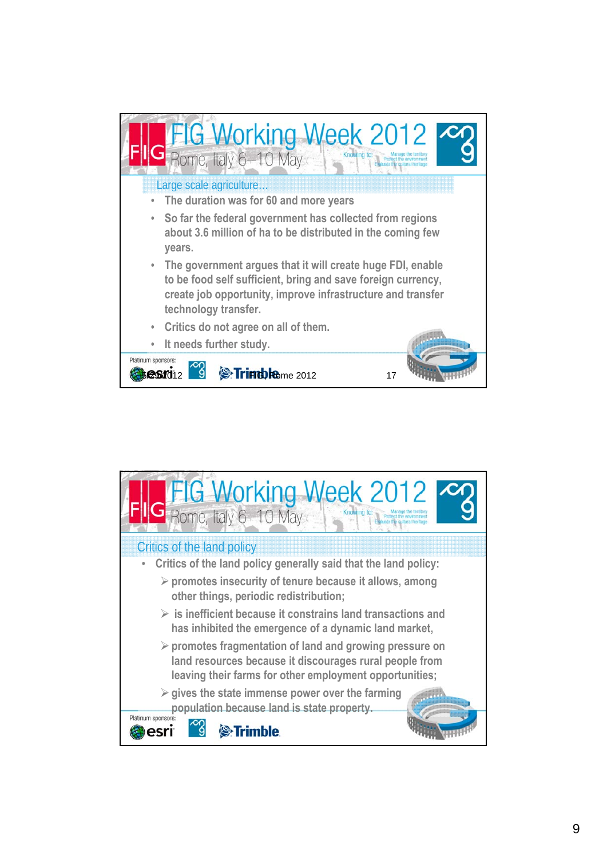

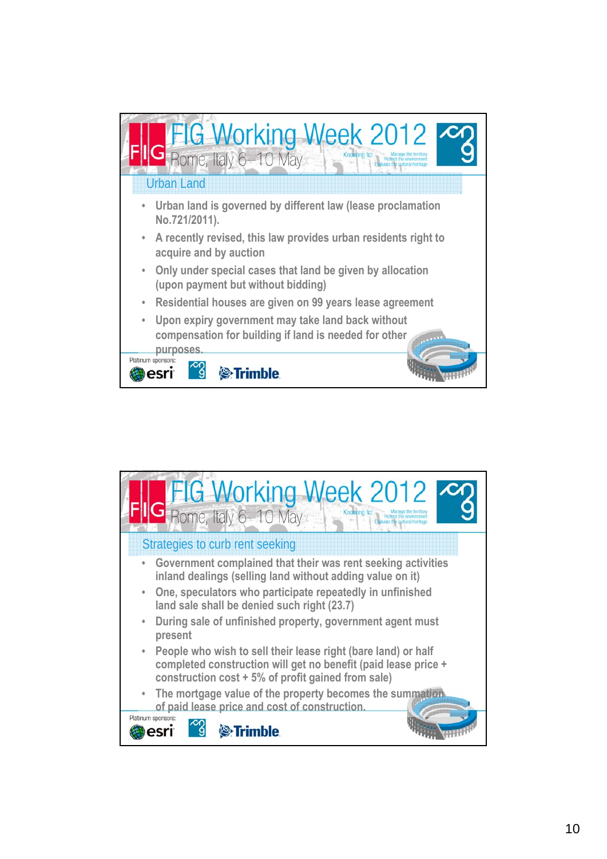

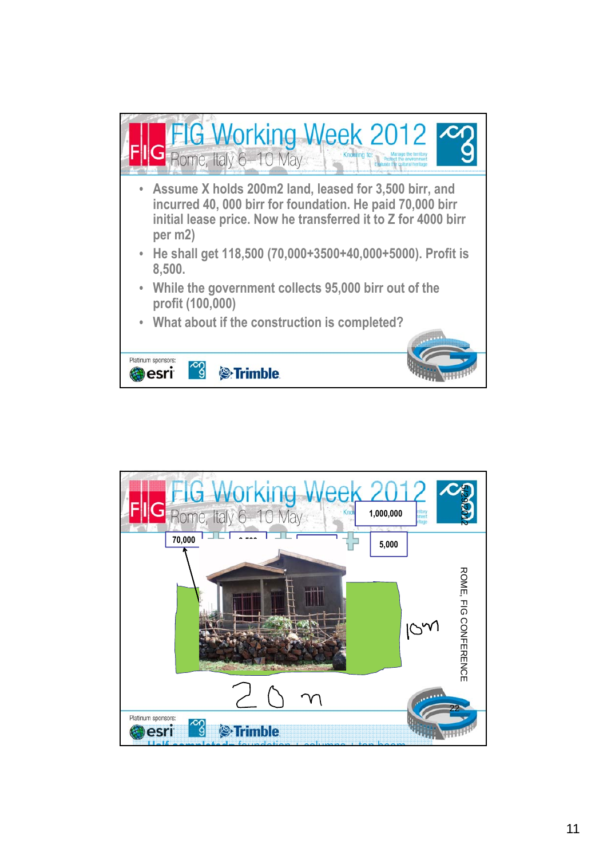

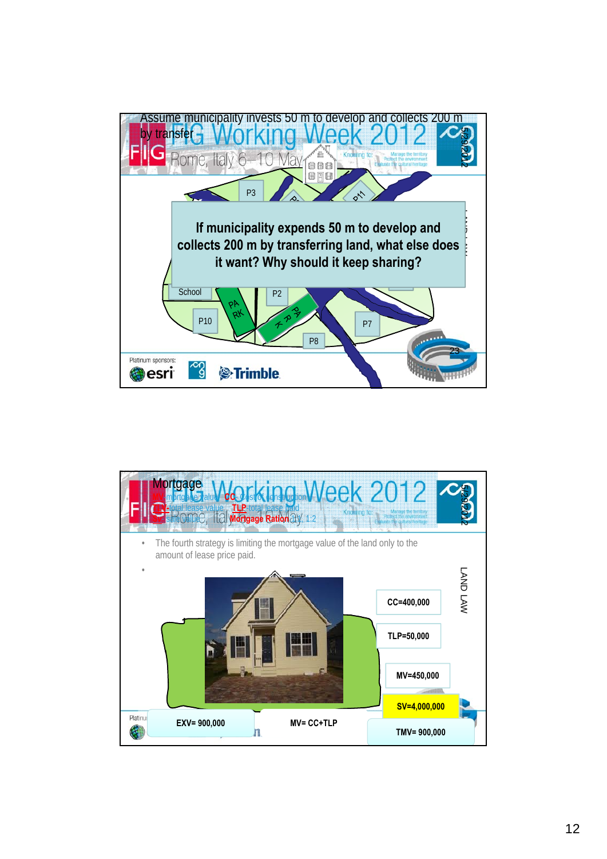

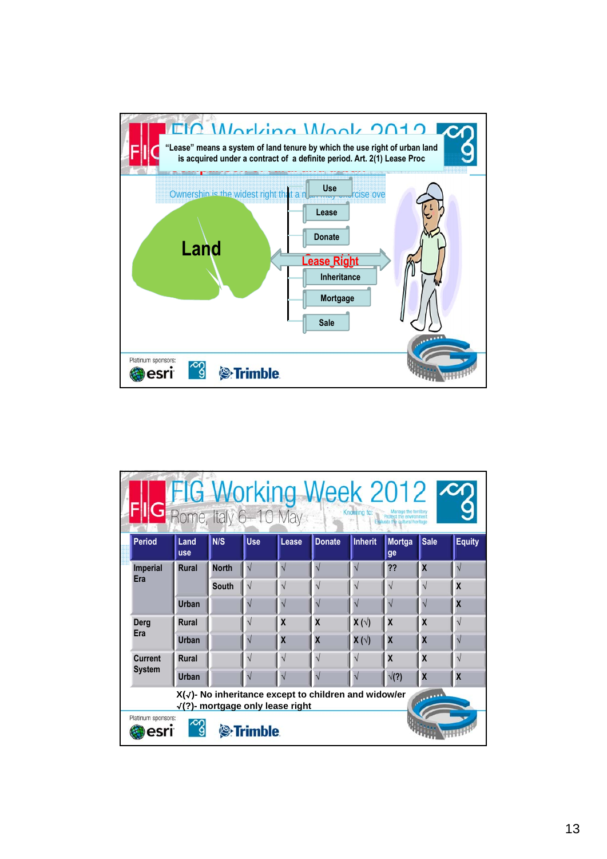

| FIG Working Week 2012<br><b>IC</b> Rome, Italy 6-10 May<br>Knowing to:<br>Protect the env |                                                                                                           |              |                       |                         |               |                |                         |                         |               |  |  |  |  |
|-------------------------------------------------------------------------------------------|-----------------------------------------------------------------------------------------------------------|--------------|-----------------------|-------------------------|---------------|----------------|-------------------------|-------------------------|---------------|--|--|--|--|
| <b>Period</b>                                                                             | Land<br>luse                                                                                              | N/S          | <b>Use</b>            | Lease                   | <b>Donate</b> | <b>Inherit</b> | Mortga<br>ge            | <b>Sale</b>             | <b>Equity</b> |  |  |  |  |
| <b>Imperial</b>                                                                           | <b>Rural</b>                                                                                              | <b>North</b> | $\sqrt{ }$            |                         |               |                | ??                      | $\overline{\mathsf{x}}$ |               |  |  |  |  |
| Era                                                                                       |                                                                                                           | <b>South</b> | $\sqrt{ }$            | V                       | V             | V              | $\sqrt{}$               | $\sqrt{}$               | X             |  |  |  |  |
|                                                                                           | <b>Urban</b>                                                                                              |              | V                     |                         | V             |                | $\sqrt{}$               | $\sqrt{2}$              | X             |  |  |  |  |
| <b>Derg</b>                                                                               | <b>Rural</b>                                                                                              |              | V                     | $\overline{\mathbf{X}}$ | X             | $X(\sqrt{2})$  | X                       | X                       | $\sqrt{}$     |  |  |  |  |
| Era                                                                                       | <b>Urban</b>                                                                                              |              | N                     | X                       | X             | $X(\sqrt{2})$  | $\overline{\mathbf{X}}$ | X                       |               |  |  |  |  |
| <b>Current</b><br><b>System</b>                                                           | <b>Rural</b>                                                                                              |              | $\overline{\sqrt{2}}$ | V                       | V             |                | X                       | X                       | $\sqrt{}$     |  |  |  |  |
|                                                                                           | <b>Urban</b>                                                                                              |              |                       |                         |               |                | $\sqrt(?)$              | $\overline{\mathbf{X}}$ | X             |  |  |  |  |
|                                                                                           | X(√)- No inheritance except to children and widow/er<br>للتلكيس<br>$\sqrt{?}$ - mortgage only lease right |              |                       |                         |               |                |                         |                         |               |  |  |  |  |
| Platinum sponsors:<br><sup>®</sup> Trimble                                                |                                                                                                           |              |                       |                         |               |                |                         |                         |               |  |  |  |  |